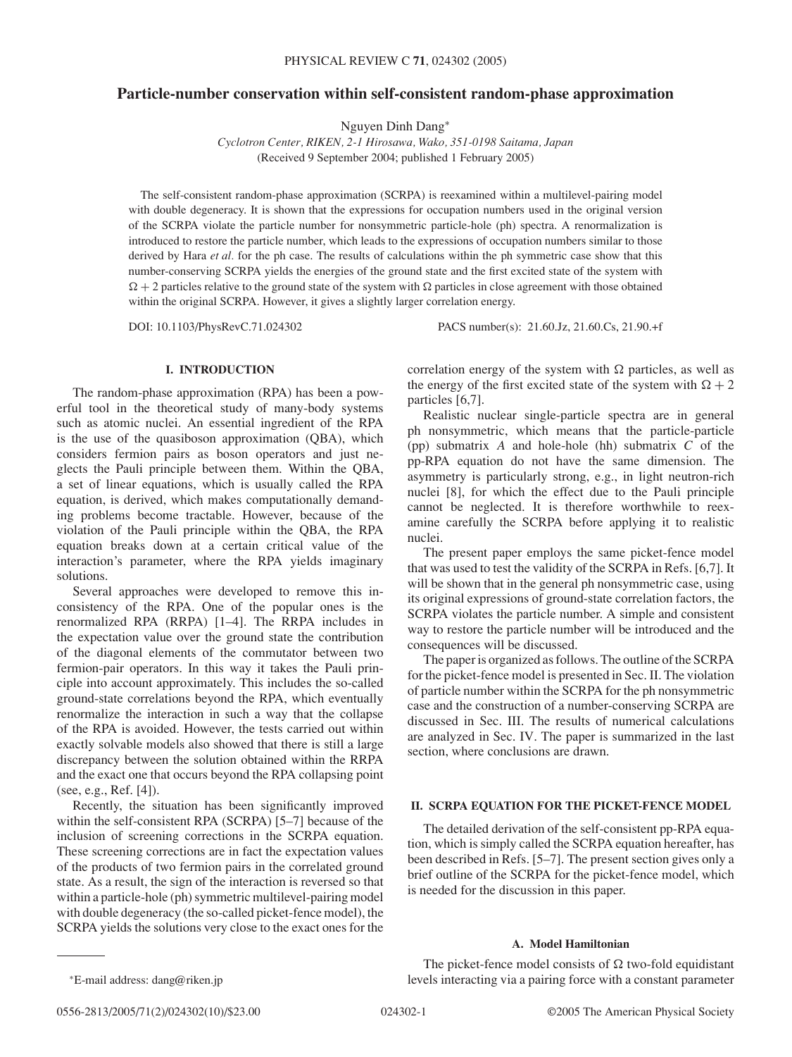# **Particle-number conservation within self-consistent random-phase approximation**

Nguyen Dinh Dang<sup>∗</sup>

*Cyclotron Center, RIKEN, 2-1 Hirosawa, Wako, 351-0198 Saitama, Japan* (Received 9 September 2004; published 1 February 2005)

The self-consistent random-phase approximation (SCRPA) is reexamined within a multilevel-pairing model with double degeneracy. It is shown that the expressions for occupation numbers used in the original version of the SCRPA violate the particle number for nonsymmetric particle-hole (ph) spectra. A renormalization is introduced to restore the particle number, which leads to the expressions of occupation numbers similar to those derived by Hara *et al.* for the ph case. The results of calculations within the ph symmetric case show that this number-conserving SCRPA yields the energies of the ground state and the first excited state of the system with  $\Omega + 2$  particles relative to the ground state of the system with  $\Omega$  particles in close agreement with those obtained within the original SCRPA. However, it gives a slightly larger correlation energy.

DOI: 10.1103/PhysRevC.71.024302 PACS number(s): 21.60.Jz, 21.60.Cs, 21.90.+f

### **I. INTRODUCTION**

The random-phase approximation (RPA) has been a powerful tool in the theoretical study of many-body systems such as atomic nuclei. An essential ingredient of the RPA is the use of the quasiboson approximation (QBA), which considers fermion pairs as boson operators and just neglects the Pauli principle between them. Within the QBA, a set of linear equations, which is usually called the RPA equation, is derived, which makes computationally demanding problems become tractable. However, because of the violation of the Pauli principle within the QBA, the RPA equation breaks down at a certain critical value of the interaction's parameter, where the RPA yields imaginary solutions.

Several approaches were developed to remove this inconsistency of the RPA. One of the popular ones is the renormalized RPA (RRPA) [1–4]. The RRPA includes in the expectation value over the ground state the contribution of the diagonal elements of the commutator between two fermion-pair operators. In this way it takes the Pauli principle into account approximately. This includes the so-called ground-state correlations beyond the RPA, which eventually renormalize the interaction in such a way that the collapse of the RPA is avoided. However, the tests carried out within exactly solvable models also showed that there is still a large discrepancy between the solution obtained within the RRPA and the exact one that occurs beyond the RPA collapsing point (see, e.g., Ref. [4]).

Recently, the situation has been significantly improved within the self-consistent RPA (SCRPA) [5–7] because of the inclusion of screening corrections in the SCRPA equation. These screening corrections are in fact the expectation values of the products of two fermion pairs in the correlated ground state. As a result, the sign of the interaction is reversed so that within a particle-hole (ph) symmetric multilevel-pairing model with double degeneracy (the so-called picket-fence model), the SCRPA yields the solutions very close to the exact ones for the correlation energy of the system with  $\Omega$  particles, as well as the energy of the first excited state of the system with  $\Omega + 2$ particles [6,7].

Realistic nuclear single-particle spectra are in general ph nonsymmetric, which means that the particle-particle (pp) submatrix *A* and hole-hole (hh) submatrix *C* of the pp-RPA equation do not have the same dimension. The asymmetry is particularly strong, e.g., in light neutron-rich nuclei [8], for which the effect due to the Pauli principle cannot be neglected. It is therefore worthwhile to reexamine carefully the SCRPA before applying it to realistic nuclei.

The present paper employs the same picket-fence model that was used to test the validity of the SCRPA in Refs. [6,7]. It will be shown that in the general ph nonsymmetric case, using its original expressions of ground-state correlation factors, the SCRPA violates the particle number. A simple and consistent way to restore the particle number will be introduced and the consequences will be discussed.

The paper is organized as follows. The outline of the SCRPA for the picket-fence model is presented in Sec. II. The violation of particle number within the SCRPA for the ph nonsymmetric case and the construction of a number-conserving SCRPA are discussed in Sec. III. The results of numerical calculations are analyzed in Sec. IV. The paper is summarized in the last section, where conclusions are drawn.

## **II. SCRPA EQUATION FOR THE PICKET-FENCE MODEL**

The detailed derivation of the self-consistent pp-RPA equation, which is simply called the SCRPA equation hereafter, has been described in Refs. [5–7]. The present section gives only a brief outline of the SCRPA for the picket-fence model, which is needed for the discussion in this paper.

## **A. Model Hamiltonian**

The picket-fence model consists of  $\Omega$  two-fold equidistant levels interacting via a pairing force with a constant parameter

0556-2813/2005/71(2)/024302(10)/\$23.00 024302-1 ©2005 The American Physical Society

<sup>∗</sup>E-mail address: dang@riken.jp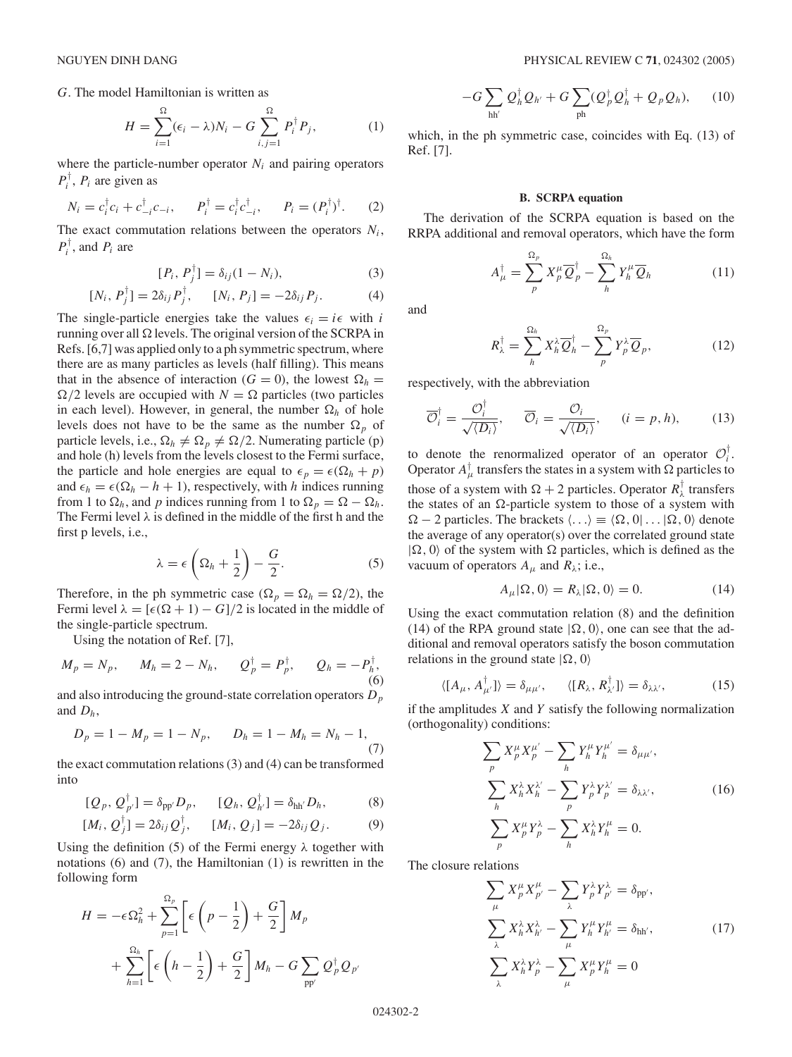*G*. The model Hamiltonian is written as

$$
H = \sum_{i=1}^{\Omega} (\epsilon_i - \lambda) N_i - G \sum_{i,j=1}^{\Omega} P_i^{\dagger} P_j, \qquad (1)
$$

where the particle-number operator  $N_i$  and pairing operators  $P_i^{\dagger}$ ,  $P_i$  are given as

$$
N_i = c_i^{\dagger} c_i + c_{-i}^{\dagger} c_{-i}, \qquad P_i^{\dagger} = c_i^{\dagger} c_{-i}^{\dagger}, \qquad P_i = (P_i^{\dagger})^{\dagger}.
$$
 (2)

The exact commutation relations between the operators *Ni*,  $P_i^{\dagger}$ , and  $P_i$  are

$$
[P_i, P_j^{\dagger}] = \delta_{ij}(1 - N_i), \tag{3}
$$

$$
[N_i, P_j^{\dagger}] = 2\delta_{ij} P_j^{\dagger}, \qquad [N_i, P_j] = -2\delta_{ij} P_j. \tag{4}
$$

The single-particle energies take the values  $\epsilon_i = i\epsilon$  with *i* running over all  $\Omega$  levels. The original version of the SCRPA in Refs. [6,7] was applied only to a ph symmetric spectrum, where there are as many particles as levels (half filling). This means that in the absence of interaction ( $G = 0$ ), the lowest  $\Omega_h =$  $\Omega/2$  levels are occupied with  $N = \Omega$  particles (two particles in each level). However, in general, the number  $\Omega_h$  of hole levels does not have to be the same as the number  $\Omega_p$  of particle levels, i.e.,  $\Omega_h \neq \Omega_p \neq \Omega/2$ . Numerating particle (p) and hole (h) levels from the levels closest to the Fermi surface, the particle and hole energies are equal to  $\epsilon_p = \epsilon(\Omega_h + p)$ and  $\epsilon_h = \epsilon(\Omega_h - h + 1)$ , respectively, with *h* indices running from 1 to  $\Omega_h$ , and *p* indices running from 1 to  $\Omega_p = \Omega - \Omega_h$ . The Fermi level *λ* is defined in the middle of the first h and the first p levels, i.e.,

$$
\lambda = \epsilon \left( \Omega_h + \frac{1}{2} \right) - \frac{G}{2}.
$$
 (5)

Therefore, in the ph symmetric case ( $\Omega_p = \Omega_h = \Omega/2$ ), the Fermi level  $\lambda = [\epsilon(\Omega + 1) - G]/2$  is located in the middle of the single-particle spectrum.

Using the notation of Ref. [7],

$$
M_p = N_p
$$
,  $M_h = 2 - N_h$ ,  $Q_p^{\dagger} = P_p^{\dagger}$ ,  $Q_h = -P_h^{\dagger}$ , (6)

and also introducing the ground-state correlation operators *Dp* and  $D_h$ ,

$$
D_p = 1 - M_p = 1 - N_p, \qquad D_h = 1 - M_h = N_h - 1,
$$
\n(7)

the exact commutation relations (3) and (4) can be transformed into

$$
[Q_p, Q_{p'}^\top] = \delta_{\text{pp}'} D_p, \qquad [Q_h, Q_{h'}^\top] = \delta_{\text{hh}'} D_h, \tag{8}
$$

$$
[M_i, Q_j^{\dagger}] = 2\delta_{ij} Q_j^{\dagger}, \qquad [M_i, Q_j] = -2\delta_{ij} Q_j. \tag{9}
$$

Using the definition (5) of the Fermi energy  $\lambda$  together with notations (6) and (7), the Hamiltonian (1) is rewritten in the following form

$$
H = -\epsilon \Omega_h^2 + \sum_{p=1}^{\Omega_p} \left[ \epsilon \left( p - \frac{1}{2} \right) + \frac{G}{2} \right] M_p
$$
  
+ 
$$
\sum_{h=1}^{\Omega_h} \left[ \epsilon \left( h - \frac{1}{2} \right) + \frac{G}{2} \right] M_h - G \sum_{pp'} Q_p^{\dagger} Q_{p'}
$$

$$
-G\sum_{hh'}Q_h^{\dagger}Q_{h'}+G\sum_{ph}(Q_p^{\dagger}Q_h^{\dagger}+Q_pQ_h),\qquad(10)
$$

which, in the ph symmetric case, coincides with Eq. (13) of Ref. [7].

## **B. SCRPA equation**

The derivation of the SCRPA equation is based on the RRPA additional and removal operators, which have the form

$$
A_{\mu}^{\dagger} = \sum_{p}^{\Omega_{p}} X_{p}^{\mu} \overline{Q}_{p}^{\dagger} - \sum_{h}^{\Omega_{h}} Y_{h}^{\mu} \overline{Q}_{h}
$$
 (11)

and

$$
R_{\lambda}^{\dagger} = \sum_{h}^{\Omega_{h}} X_{h}^{\lambda} \overline{Q}_{h}^{\dagger} - \sum_{p}^{\Omega_{p}} Y_{p}^{\lambda} \overline{Q}_{p}, \qquad (12)
$$

respectively, with the abbreviation

$$
\overline{\mathcal{O}}_i^{\dagger} = \frac{\mathcal{O}_i^{\dagger}}{\sqrt{\langle D_i \rangle}}, \quad \overline{\mathcal{O}}_i = \frac{\mathcal{O}_i}{\sqrt{\langle D_i \rangle}}, \quad (i = p, h), \tag{13}
$$

to denote the renormalized operator of an operator  $\mathcal{O}_i^{\dagger}$ . Operator  $A^{\dagger}_{\mu}$  transfers the states in a system with  $\Omega$  particles to those of a system with  $\Omega + 2$  particles. Operator  $R^{\dagger}_{\lambda}$  transfers the states of an  $\Omega$ -particle system to those of a system with  $\Omega - 2$  particles. The brackets  $\langle \ldots \rangle \equiv \langle \Omega, 0 | \ldots | \Omega, 0 \rangle$  denote the average of any operator(s) over the correlated ground state  $|\Omega, 0\rangle$  of the system with  $\Omega$  particles, which is defined as the vacuum of operators  $A_\mu$  and  $R_\lambda$ ; i.e.,

$$
A_{\mu}|\Omega,0\rangle = R_{\lambda}|\Omega,0\rangle = 0.
$$
 (14)

Using the exact commutation relation (8) and the definition (14) of the RPA ground state  $|\Omega, 0\rangle$ , one can see that the additional and removal operators satisfy the boson commutation relations in the ground state  $|\Omega, 0\rangle$ 

$$
\langle [A_{\mu}, A_{\mu'}^{\dagger}] \rangle = \delta_{\mu\mu'}, \qquad \langle [R_{\lambda}, R_{\lambda'}^{\dagger}] \rangle = \delta_{\lambda\lambda'}, \tag{15}
$$

if the amplitudes *X* and *Y* satisfy the following normalization (orthogonality) conditions:

$$
\sum_{p} X_p^{\mu} X_p^{\mu'} - \sum_{h} Y_h^{\mu} Y_h^{\mu'} = \delta_{\mu\mu'},
$$
\n
$$
\sum_{h} X_h^{\lambda} X_h^{\lambda'} - \sum_{p} Y_p^{\lambda} Y_p^{\lambda'} = \delta_{\lambda\lambda'},
$$
\n
$$
\sum_{p} X_p^{\mu} Y_p^{\lambda} - \sum_{h} X_h^{\lambda} Y_h^{\mu} = 0.
$$
\n(16)

The closure relations

$$
\sum_{\mu} X_{p}^{\mu} X_{p'}^{\mu} - \sum_{\lambda} Y_{p}^{\lambda} Y_{p'}^{\lambda} = \delta_{\text{pp'}},
$$
  

$$
\sum_{\lambda} X_{h}^{\lambda} X_{h'}^{\lambda} - \sum_{\mu} Y_{h}^{\mu} Y_{h'}^{\mu} = \delta_{\text{hh'}},
$$
  

$$
\sum_{\lambda} X_{h}^{\lambda} Y_{p}^{\lambda} - \sum_{\mu} X_{p}^{\mu} Y_{h}^{\mu} = 0
$$
 (17)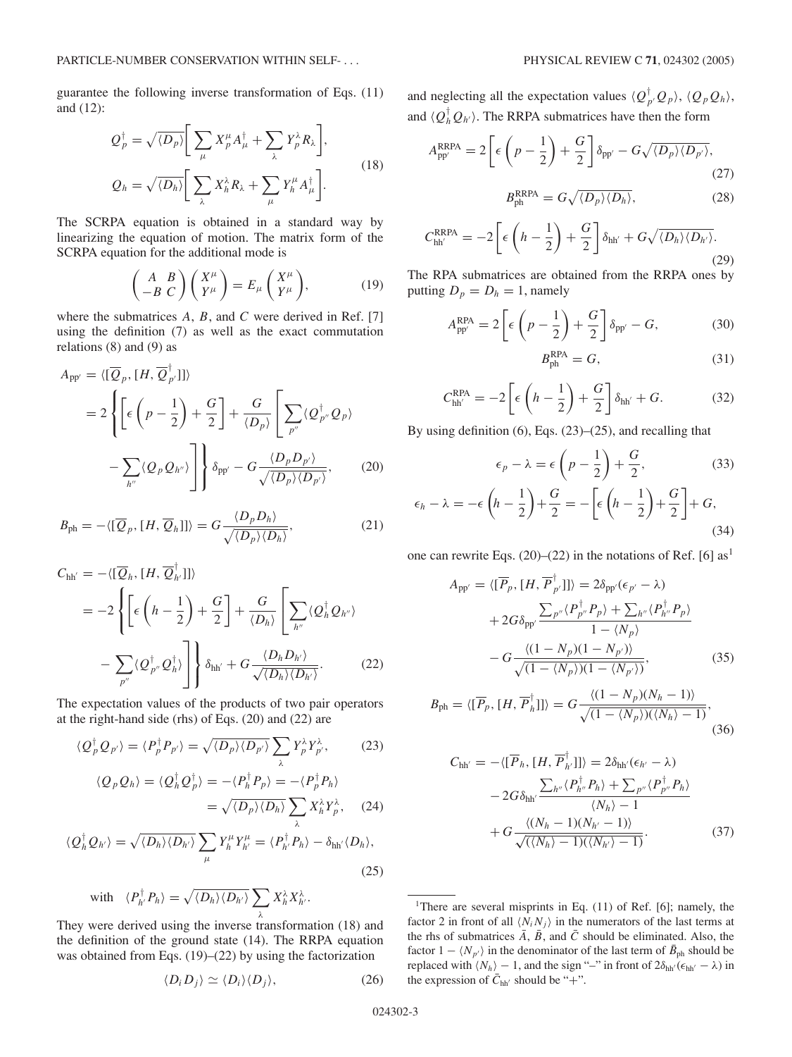guarantee the following inverse transformation of Eqs. (11) and (12):

$$
Q_p^{\dagger} = \sqrt{\langle D_p \rangle} \Bigg[ \sum_{\mu} X_p^{\mu} A_{\mu}^{\dagger} + \sum_{\lambda} Y_p^{\lambda} R_{\lambda} \Bigg],
$$
  
\n
$$
Q_h = \sqrt{\langle D_h \rangle} \Bigg[ \sum_{\lambda} X_h^{\lambda} R_{\lambda} + \sum_{\mu} Y_h^{\mu} A_{\mu}^{\dagger} \Bigg].
$$
\n(18)

The SCRPA equation is obtained in a standard way by linearizing the equation of motion. The matrix form of the SCRPA equation for the additional mode is

$$
\begin{pmatrix} A & B \\ -B & C \end{pmatrix} \begin{pmatrix} X^{\mu} \\ Y^{\mu} \end{pmatrix} = E_{\mu} \begin{pmatrix} X^{\mu} \\ Y^{\mu} \end{pmatrix}, \tag{19}
$$

where the submatrices *A*, *B*, and *C* were derived in Ref. [7] using the definition (7) as well as the exact commutation relations (8) and (9) as

$$
A_{\text{pp'}} = \langle [\overline{Q}_p, [H, \overline{Q}_{p'}^{\dagger}]] \rangle
$$
  
=  $2 \left\{ \left[ \epsilon \left( p - \frac{1}{2} \right) + \frac{G}{2} \right] + \frac{G}{\langle D_p \rangle} \left[ \sum_{p''} \langle Q_{p''}^{\dagger} Q_{p} \rangle \right] - \sum_{h''} \langle Q_p Q_{h''} \rangle \right\} \delta_{\text{pp'}} - G \frac{\langle D_p D_{p'} \rangle}{\sqrt{\langle D_p \rangle \langle D_{p'} \rangle}},$  (20)

$$
B_{\text{ph}} = -\langle [\overline{Q}_p, [H, \overline{Q}_h]] \rangle = G \frac{\langle D_p D_h \rangle}{\sqrt{\langle D_p \rangle \langle D_h \rangle}}, \tag{21}
$$

$$
C_{\text{hh}'} = -\langle [\overline{Q}_h, [H, \overline{Q}_h^{\dagger}]] \rangle
$$
  
= 
$$
-2 \left\{ \left[ \epsilon \left( h - \frac{1}{2} \right) + \frac{G}{2} \right] + \frac{G}{\langle D_h \rangle} \left[ \sum_{h''} \langle Q_h^{\dagger} Q_{h''} \rangle \right]
$$
  

$$
- \sum_{p''} \langle Q_{p''}^{\dagger} Q_h^{\dagger} \rangle \right] \right\} \delta_{\text{hh}'} + G \frac{\langle D_h D_{h'} \rangle}{\sqrt{\langle D_h \rangle \langle D_{h'} \rangle}}.
$$
(22)

The expectation values of the products of two pair operators at the right-hand side (rhs) of Eqs. (20) and (22) are

$$
\langle Q_p^{\dagger} Q_{p'} \rangle = \langle P_p^{\dagger} P_{p'} \rangle = \sqrt{\langle D_p \rangle \langle D_{p'} \rangle} \sum_{\lambda} Y_p^{\lambda} Y_{p'}^{\lambda}, \tag{23}
$$

$$
\langle Q_p Q_h \rangle = \langle Q_h^{\dagger} Q_p^{\dagger} \rangle = -\langle P_h^{\dagger} P_p \rangle = -\langle P_p^{\dagger} P_h \rangle
$$

$$
= \sqrt{\langle D_p \rangle \langle D_h \rangle} \sum_{\lambda} X_h^{\lambda} Y_p^{\lambda}, \quad (24)
$$

$$
\frac{\partial}{\partial \langle D_h \rangle} = \sqrt{\langle D_h \rangle \langle D_{h'} \rangle} \sum_{\lambda} Y_l^{\mu} Y_{l'}^{\mu} = \langle P_h^{\dagger}, P_h \rangle - \delta_{hh'} \langle D_h \rangle
$$

$$
\langle Q_h^{\dagger} Q_{h'} \rangle = \sqrt{\langle D_h \rangle \langle D_{h'} \rangle} \sum_{\mu} Y_h^{\mu} Y_{h'}^{\mu} = \langle P_h^{\dagger} P_h \rangle - \delta_{hh'} \langle D_h \rangle,
$$
\n(25)

with 
$$
\langle P_{h'}^{\dagger} P_h \rangle = \sqrt{\langle D_h \rangle \langle D_{h'} \rangle} \sum_{\lambda} X_h^{\lambda} X_{h'}^{\lambda}
$$
.

They were derived using the inverse transformation (18) and the definition of the ground state (14). The RRPA equation was obtained from Eqs. (19)–(22) by using the factorization

$$
\langle D_i D_j \rangle \simeq \langle D_i \rangle \langle D_j \rangle, \tag{26}
$$

and neglecting all the expectation values  $\langle Q_p^{\dagger} Q_p \rangle$ ,  $\langle Q_p Q_h \rangle$ , and  $\langle Q_h^{\dagger} Q_{h'} \rangle$ . The RRPA submatrices have then the form

$$
A_{\rm pp'}^{\rm RRPA} = 2 \left[ \epsilon \left( p - \frac{1}{2} \right) + \frac{G}{2} \right] \delta_{\rm pp'} - G \sqrt{\langle D_p \rangle \langle D_{p'} \rangle},\tag{27}
$$

$$
B_{\text{ph}}^{\text{RRPA}} = G \sqrt{\langle D_p \rangle \langle D_h \rangle},\tag{28}
$$

$$
C_{\text{hh}'}^{\text{RRPA}} = -2\left[\epsilon\left(h - \frac{1}{2}\right) + \frac{G}{2}\right]\delta_{\text{hh}'} + G\sqrt{\langle D_h \rangle \langle D_{h'} \rangle}.
$$
\n(29)

The RPA submatrices are obtained from the RRPA ones by putting  $D_p = D_h = 1$ , namely

$$
A_{\text{pp}'}^{\text{RPA}} = 2\left[\epsilon\left(p - \frac{1}{2}\right) + \frac{G}{2}\right]\delta_{\text{pp}'} - G,\tag{30}
$$

$$
B_{\rm ph}^{\rm RPA} = G,\tag{31}
$$

$$
C_{\text{hh}'}^{\text{RPA}} = -2\left[\epsilon\left(h - \frac{1}{2}\right) + \frac{G}{2}\right]\delta_{\text{hh}'} + G. \tag{32}
$$

By using definition (6), Eqs. (23)–(25), and recalling that

$$
\epsilon_p - \lambda = \epsilon \left( p - \frac{1}{2} \right) + \frac{G}{2},\tag{33}
$$
\n
$$
\epsilon_h - \lambda = -\epsilon \left( h - \frac{1}{2} \right) + \frac{G}{2} = -\left[ \epsilon \left( h - \frac{1}{2} \right) + \frac{G}{2} \right] + G,\tag{34}
$$

one can rewrite Eqs. (20)–(22) in the notations of Ref. [6]  $as<sup>1</sup>$ 

$$
A_{\rm pp'} = \langle [\overline{P}_p, [H, \overline{P}_{p'}^{\dagger}]] \rangle = 2\delta_{\rm pp'}(\epsilon_{p'} - \lambda)
$$
  
+ 
$$
2G\delta_{\rm pp'} \frac{\sum_{p''} \langle P_{p''}^{\dagger} P_p \rangle + \sum_{h''} \langle P_{h''}^{\dagger} P_p \rangle}{1 - \langle N_p \rangle}
$$
  
- 
$$
G \frac{\langle (1 - N_p)(1 - N_{p'}) \rangle}{\sqrt{(1 - \langle N_p \rangle)(1 - \langle N_{p'} \rangle)}},
$$
(35)

$$
B_{\text{ph}} = \langle [\overline{P}_p, [H, \overline{P}_h^{\dagger}]] \rangle = G \frac{\langle (1 - N_p)(N_h - 1) \rangle}{\sqrt{(1 - \langle N_p \rangle)(\langle N_h \rangle - 1)}},
$$
(36)

$$
C_{\text{hh}'} = -\langle [\overline{P}_h, [H, \overline{P}_h^{\dagger}]] \rangle = 2\delta_{\text{hh}'} (\epsilon_{h'} - \lambda)
$$
  

$$
- 2G \delta_{\text{hh}'} \frac{\sum_{h''} \langle P_{h''}^{\dagger} P_h \rangle + \sum_{p''} \langle P_{p''}^{\dagger} P_h \rangle}{\langle N_h \rangle - 1}
$$
  

$$
+ G \frac{\langle (N_h - 1)(N_{h'} - 1) \rangle}{\sqrt{\langle (N_h) - 1)(N_{h'} \rangle - 1}}.
$$
 (37)

<sup>&</sup>lt;sup>1</sup>There are several misprints in Eq.  $(11)$  of Ref. [6]; namely, the factor 2 in front of all  $\langle N_i N_j \rangle$  in the numerators of the last terms at the rhs of submatrices  $\overline{A}$ ,  $\overline{B}$ , and  $\overline{C}$  should be eliminated. Also, the factor  $1 - \langle N_{p'} \rangle$  in the denominator of the last term of  $\bar{B}_{\text{ph}}$  should be replaced with  $\langle N_h \rangle - 1$ , and the sign "–" in front of  $2\delta_{hh'}(\epsilon_{hh'} - \lambda)$  in the expression of  $\bar{C}_{hh'}$  should be "+".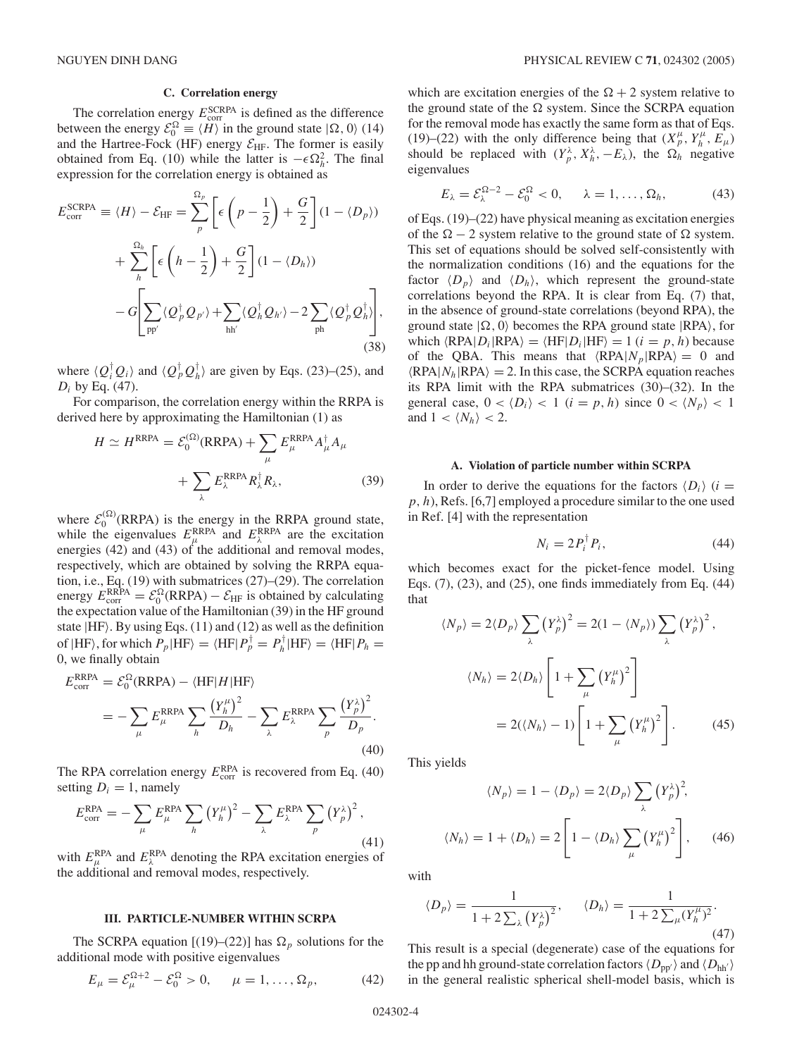## **C. Correlation energy**

The correlation energy  $E_{\text{corr}}^{\text{SCRPA}}$  is defined as the difference between the energy  $\mathcal{E}_0^{\Omega} \equiv \langle H \rangle$  in the ground state  $|\Omega, 0 \rangle$  (14) and the Hartree-Fock (HF) energy  $\mathcal{E}_{HF}$ . The former is easily obtained from Eq. (10) while the latter is  $-\epsilon \Omega_h^2$ . The final expression for the correlation energy is obtained as

$$
E_{\text{corr}}^{\text{SCRPA}} \equiv \langle H \rangle - \mathcal{E}_{\text{HF}} = \sum_{p}^{\Omega_p} \left[ \epsilon \left( p - \frac{1}{2} \right) + \frac{G}{2} \right] (1 - \langle D_p \rangle)
$$
  
+ 
$$
\sum_{h}^{\Omega_h} \left[ \epsilon \left( h - \frac{1}{2} \right) + \frac{G}{2} \right] (1 - \langle D_h \rangle)
$$
  
- 
$$
G \left[ \sum_{\text{pp}'} \langle Q_p^{\dagger} Q_{p'} \rangle + \sum_{\text{hh}'} \langle Q_h^{\dagger} Q_{h'} \rangle - 2 \sum_{\text{ph}} \langle Q_p^{\dagger} Q_h^{\dagger} \rangle \right],
$$
(38)

where  $\langle Q_i^{\dagger} Q_i \rangle$  and  $\langle Q_p^{\dagger} Q_h^{\dagger} \rangle$  are given by Eqs. (23)–(25), and *Di* by Eq. (47).

For comparison, the correlation energy within the RRPA is derived here by approximating the Hamiltonian (1) as

$$
H \simeq H^{RRPA} = \mathcal{E}_0^{(\Omega)}(RRPA) + \sum_{\mu} E_{\mu}^{RRPA} A_{\mu}^{\dagger} A_{\mu}
$$

$$
+ \sum_{\lambda} E_{\lambda}^{RRPA} R_{\lambda}^{\dagger} R_{\lambda}, \qquad (39)
$$

where  $\mathcal{E}_0^{(\Omega)}$ (RRPA) is the energy in the RRPA ground state, while the eigenvalues  $E_{\mu}^{\text{RRPA}}$  and  $E_{\lambda}^{\text{RRPA}}$  are the excitation energies (42) and (43) of the additional and removal modes, respectively, which are obtained by solving the RRPA equation, i.e., Eq. (19) with submatrices (27)–(29). The correlation energy  $E_{\text{corr}}^{\text{RRPA}} = \mathcal{E}_0^{\Omega}(\text{RRPA}) - \mathcal{E}_{\text{HF}}$  is obtained by calculating the expectation value of the Hamiltonian (39) in the HF ground state  $|HF\rangle$ . By using Eqs. (11) and (12) as well as the definition of  $|HF\rangle$ , for which  $P_p|HF\rangle = \langle HF|P_p^{\dagger} = P_h^{\dagger}|HF\rangle = \langle HF|P_h =$ 0, we finally obtain

$$
E_{\text{corr}}^{\text{RRPA}} = \mathcal{E}_0^{\Omega}(\text{RRPA}) - \langle \text{HF} | H | \text{HF} \rangle
$$
  
= 
$$
- \sum_{\mu} E_{\mu}^{\text{RRPA}} \sum_{h} \frac{\left(Y_h^{\mu}\right)^2}{D_h} - \sum_{\lambda} E_{\lambda}^{\text{RRPA}} \sum_{p} \frac{\left(Y_p^{\lambda}\right)^2}{D_p}.
$$
(40)

The RPA correlation energy  $E_{\text{corr}}^{\text{RPA}}$  is recovered from Eq. (40) setting  $D_i = 1$ , namely

$$
E_{\text{corr}}^{\text{RPA}} = -\sum_{\mu} E_{\mu}^{\text{RPA}} \sum_{h} \left(Y_{h}^{\mu}\right)^{2} - \sum_{\lambda} E_{\lambda}^{\text{RPA}} \sum_{p} \left(Y_{p}^{\lambda}\right)^{2},\tag{41}
$$

with  $E_{\mu}^{\text{RPA}}$  and  $E_{\lambda}^{\text{RPA}}$  denoting the RPA excitation energies of the additional and removal modes, respectively.

### **III. PARTICLE-NUMBER WITHIN SCRPA**

The SCRPA equation  $[(19)–(22)]$  has  $\Omega_n$  solutions for the additional mode with positive eigenvalues

$$
E_{\mu} = \mathcal{E}_{\mu}^{\Omega + 2} - \mathcal{E}_{0}^{\Omega} > 0, \qquad \mu = 1, ..., \Omega_{p}, \tag{42}
$$

which are excitation energies of the  $\Omega + 2$  system relative to the ground state of the  $\Omega$  system. Since the SCRPA equation for the removal mode has exactly the same form as that of Eqs. (19)–(22) with the only difference being that  $(X_p^{\mu}, Y_h^{\mu}, E_{\mu})$ should be replaced with  $(Y_p^{\lambda}, X_h^{\lambda}, -E_{\lambda})$ , the  $\Omega_h$  negative eigenvalues

$$
E_{\lambda} = \mathcal{E}_{\lambda}^{\Omega - 2} - \mathcal{E}_{0}^{\Omega} < 0, \quad \lambda = 1, \dots, \Omega_{h}, \tag{43}
$$

of Eqs. (19)–(22) have physical meaning as excitation energies of the  $\Omega - 2$  system relative to the ground state of  $\Omega$  system. This set of equations should be solved self-consistently with the normalization conditions (16) and the equations for the factor  $\langle D_p \rangle$  and  $\langle D_h \rangle$ , which represent the ground-state correlations beyond the RPA. It is clear from Eq. (7) that, in the absence of ground-state correlations (beyond RPA), the ground state  $|\Omega, 0\rangle$  becomes the RPA ground state  $|RPA\rangle$ , for which  $\langle RPA|D_i|RPA\rangle = \langle HF|D_i|HF\rangle = 1$  (*i* = *p*, *h*) because of the QBA. This means that  $\langle RPA|N_p|RPA \rangle = 0$  and  $\langle RPA|N_h|RPA \rangle = 2$ . In this case, the SCRPA equation reaches its RPA limit with the RPA submatrices (30)–(32). In the general case,  $0 < \langle D_i \rangle < 1$  ( $i = p, h$ ) since  $0 < \langle N_p \rangle < 1$ and  $1 < \langle N_h \rangle < 2$ .

#### **A. Violation of particle number within SCRPA**

In order to derive the equations for the factors  $\langle D_i \rangle$  (*i* = *p, h*), Refs. [6,7] employed a procedure similar to the one used in Ref. [4] with the representation

$$
N_i = 2P_i^{\dagger} P_i, \tag{44}
$$

which becomes exact for the picket-fence model. Using Eqs. (7), (23), and (25), one finds immediately from Eq. (44) that

$$
\langle N_p \rangle = 2 \langle D_p \rangle \sum_{\lambda} \left( Y_p^{\lambda} \right)^2 = 2(1 - \langle N_p \rangle) \sum_{\lambda} \left( Y_p^{\lambda} \right)^2,
$$
  

$$
\langle N_h \rangle = 2 \langle D_h \rangle \left[ 1 + \sum_{\mu} \left( Y_h^{\mu} \right)^2 \right]
$$
  

$$
= 2(\langle N_h \rangle - 1) \left[ 1 + \sum_{\mu} \left( Y_h^{\mu} \right)^2 \right].
$$
 (45)

This yields

$$
\langle N_p \rangle = 1 - \langle D_p \rangle = 2 \langle D_p \rangle \sum_{\lambda} \left( Y_p^{\lambda} \right)^2,
$$
  

$$
\langle N_h \rangle = 1 + \langle D_h \rangle = 2 \left[ 1 - \langle D_h \rangle \sum_{\mu} \left( Y_h^{\mu} \right)^2 \right], \qquad (46)
$$

with

$$
\langle D_p \rangle = \frac{1}{1 + 2 \sum_{\lambda} (Y_p^{\lambda})^2}, \qquad \langle D_h \rangle = \frac{1}{1 + 2 \sum_{\mu} (Y_h^{\mu})^2}.
$$
\n(47)

This result is a special (degenerate) case of the equations for the pp and hh ground-state correlation factors  $\langle D_{\text{pp'}} \rangle$  and  $\langle D_{\text{hh'}} \rangle$ in the general realistic spherical shell-model basis, which is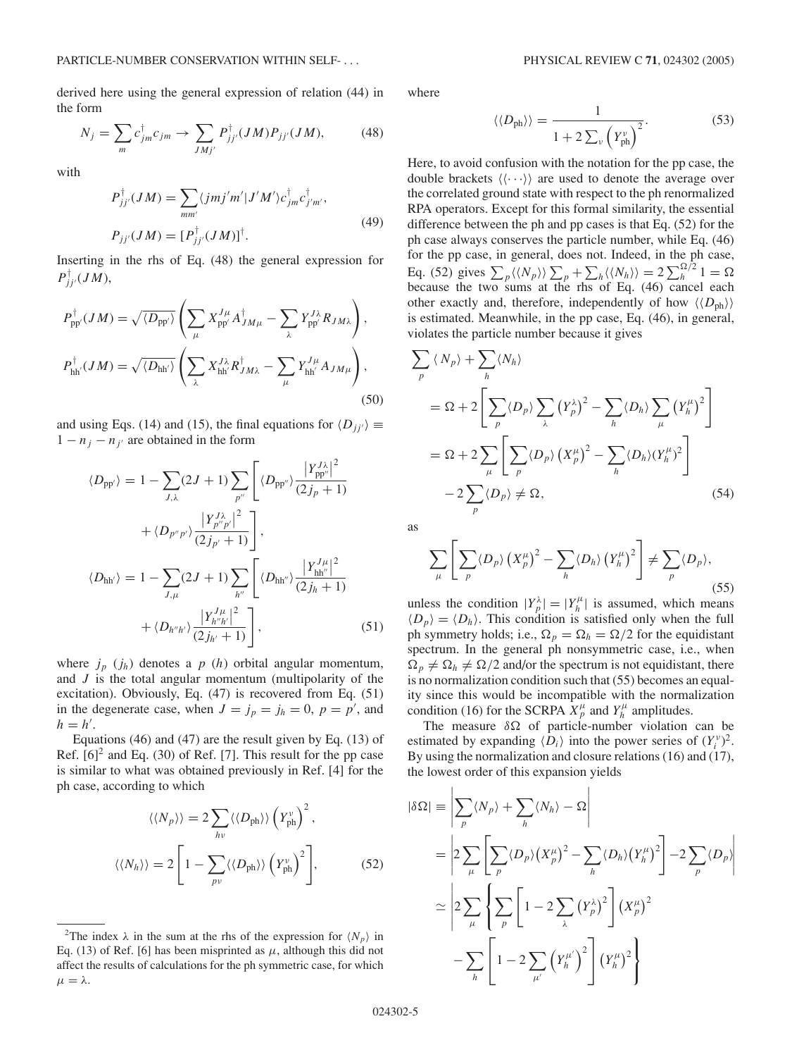derived here using the general expression of relation (44) in the form

$$
N_j = \sum_m c_{jm}^{\dagger} c_{jm} \rightarrow \sum_{JMj'} P_{jj'}^{\dagger} (JM) P_{jj'}(JM), \tag{48}
$$

with

$$
P_{jj'}^{\dagger}(JM) = \sum_{mm'} \langle jmj'm'|J'M'\rangle c_{jm}^{\dagger} c_{j'm'}^{\dagger},
$$
  
\n
$$
P_{jj'}(JM) = [P_{jj'}^{\dagger}(JM)]^{\dagger}.
$$
\n(49)

Inserting in the rhs of Eq. (48) the general expression for  $P_{jj'}^{\dagger}(JM)$ ,

$$
P_{\rm pp'}^{\dagger}(JM) = \sqrt{\langle D_{\rm pp'} \rangle} \left( \sum_{\mu} X_{\rm pp'}^{J\mu} A_{JM\mu}^{\dagger} - \sum_{\lambda} Y_{\rm pp'}^{J\lambda} R_{JM\lambda} \right),
$$
  

$$
P_{\rm hh'}^{\dagger}(JM) = \sqrt{\langle D_{\rm hh'} \rangle} \left( \sum_{\lambda} X_{\rm hh'}^{J\lambda} R_{JM\lambda}^{\dagger} - \sum_{\mu} Y_{\rm hh'}^{J\mu} A_{JM\mu} \right),
$$
(50)

and using Eqs. (14) and (15), the final equations for  $\langle D_{jj'} \rangle \equiv$  $1 - n_j - n_{j'}$  are obtained in the form

$$
\langle D_{\text{pp'}} \rangle = 1 - \sum_{J,\lambda} (2J+1) \sum_{p''} \left[ \langle D_{\text{pp'}} \rangle \frac{|Y_{\text{pp'}}^{J\lambda}|^2}{(2j_p+1)} + \langle D_{p''p'} \rangle \frac{|Y_{p''p'}^{J\lambda}|^2}{(2j_{p'}+1)} \right],
$$
  

$$
\langle D_{\text{hh'}} \rangle = 1 - \sum_{J,\mu} (2J+1) \sum_{h''} \left[ \langle D_{\text{hh'}} \rangle \frac{|Y_{\text{hh'}}^{J\mu}|^2}{(2j_h+1)} + \langle D_{h''h'} \rangle \frac{|Y_{h''h'}^{J\mu}|^2}{(2j_h+1)} \right], \tag{51}
$$

where  $j_p$   $(j_h)$  denotes a  $p$   $(h)$  orbital angular momentum, and *J* is the total angular momentum (multipolarity of the excitation). Obviously, Eq. (47) is recovered from Eq. (51) in the degenerate case, when  $J = j_p = j_h = 0$ ,  $p = p'$ , and  $h = h'$ .

Equations (46) and (47) are the result given by Eq. (13) of Ref.  $[6]^2$  and Eq. (30) of Ref. [7]. This result for the pp case is similar to what was obtained previously in Ref. [4] for the ph case, according to which

$$
\langle \langle N_p \rangle \rangle = 2 \sum_{h\nu} \langle \langle D_{\text{ph}} \rangle \rangle \left( Y_{\text{ph}}^{\nu} \right)^2,
$$
  

$$
\langle \langle N_h \rangle \rangle = 2 \left[ 1 - \sum_{p\nu} \langle \langle D_{\text{ph}} \rangle \rangle \left( Y_{\text{ph}}^{\nu} \right)^2 \right],
$$
 (52)

where

$$
\langle \langle D_{\rm ph} \rangle \rangle = \frac{1}{1 + 2 \sum_{\nu} \left( Y_{\rm ph}^{\nu} \right)^2}.
$$
 (53)

Here, to avoid confusion with the notation for the pp case, the double brackets  $\langle \langle \cdots \rangle \rangle$  are used to denote the average over the correlated ground state with respect to the ph renormalized RPA operators. Except for this formal similarity, the essential difference between the ph and pp cases is that Eq. (52) for the ph case always conserves the particle number, while Eq. (46) for the pp case, in general, does not. Indeed, in the ph case, Eq. (52) gives  $\sum_{p} \langle \langle N_p \rangle \rangle \sum_{p} + \sum_{h} \langle \langle N_h \rangle \rangle = 2 \sum_{h}^{\Omega/2} 1 = \Omega$ because the two sums at the rhs of Eq. (46) cancel each other exactly and, therefore, independently of how  $\langle \langle D_{\text{ph}} \rangle \rangle$ is estimated. Meanwhile, in the pp case, Eq. (46), in general, violates the particle number because it gives

$$
\sum_{p} \langle N_{p} \rangle + \sum_{h} \langle N_{h} \rangle
$$
\n
$$
= \Omega + 2 \left[ \sum_{p} \langle D_{p} \rangle \sum_{\lambda} (Y_{p}^{\lambda})^{2} - \sum_{h} \langle D_{h} \rangle \sum_{\mu} (Y_{h}^{\mu})^{2} \right]
$$
\n
$$
= \Omega + 2 \sum_{\mu} \left[ \sum_{p} \langle D_{p} \rangle (X_{p}^{\mu})^{2} - \sum_{h} \langle D_{h} \rangle (Y_{h}^{\mu})^{2} \right]
$$
\n
$$
- 2 \sum_{p} \langle D_{p} \rangle \neq \Omega, \qquad (54)
$$

as

$$
\sum_{\mu} \left[ \sum_{p} \langle D_{p} \rangle \left( X_{p}^{\mu} \right)^{2} - \sum_{h} \langle D_{h} \rangle \left( Y_{h}^{\mu} \right)^{2} \right] \neq \sum_{p} \langle D_{p} \rangle, \tag{55}
$$

unless the condition  $|Y_p^{\lambda}| = |Y_h^{\mu}|$  is assumed, which means  $\langle D_p \rangle = \langle D_h \rangle$ . This condition is satisfied only when the full ph symmetry holds; i.e.,  $\Omega_p = \Omega_h = \Omega/2$  for the equidistant spectrum. In the general ph nonsymmetric case, i.e., when  $\Omega_p \neq \Omega_h \neq \Omega/2$  and/or the spectrum is not equidistant, there is no normalization condition such that (55) becomes an equality since this would be incompatible with the normalization condition (16) for the SCRPA  $X_p^{\mu}$  and  $Y_h^{\mu}$  amplitudes.

The measure  $\delta \Omega$  of particle-number violation can be estimated by expanding  $\langle D_i \rangle$  into the power series of  $(Y_i^{\nu})^2$ . By using the normalization and closure relations (16) and (17), the lowest order of this expansion yields

$$
|\delta\Omega| = \left| \sum_{p} \langle N_p \rangle + \sum_{h} \langle N_h \rangle - \Omega \right|
$$
  
= 
$$
\left| 2 \sum_{\mu} \left[ \sum_{p} \langle D_p \rangle \left( X_p^{\mu} \right)^2 - \sum_{h} \langle D_h \rangle \left( Y_h^{\mu} \right)^2 \right] - 2 \sum_{p} \langle D_p \rangle \right|
$$
  

$$
\simeq \left| 2 \sum_{\mu} \left\{ \sum_{p} \left[ 1 - 2 \sum_{\lambda} \left( Y_p^{\lambda} \right)^2 \right] \left( X_p^{\mu} \right)^2 - \sum_{h} \left[ 1 - 2 \sum_{\mu'} \left( Y_h^{\mu'} \right)^2 \right] \left( Y_h^{\mu} \right)^2 \right\} \right|
$$

<sup>&</sup>lt;sup>2</sup>The index  $\lambda$  in the sum at the rhs of the expression for  $\langle N_p \rangle$  in Eq. (13) of Ref. [6] has been misprinted as  $\mu$ , although this did not affect the results of calculations for the ph symmetric case, for which  $\mu = \lambda$ .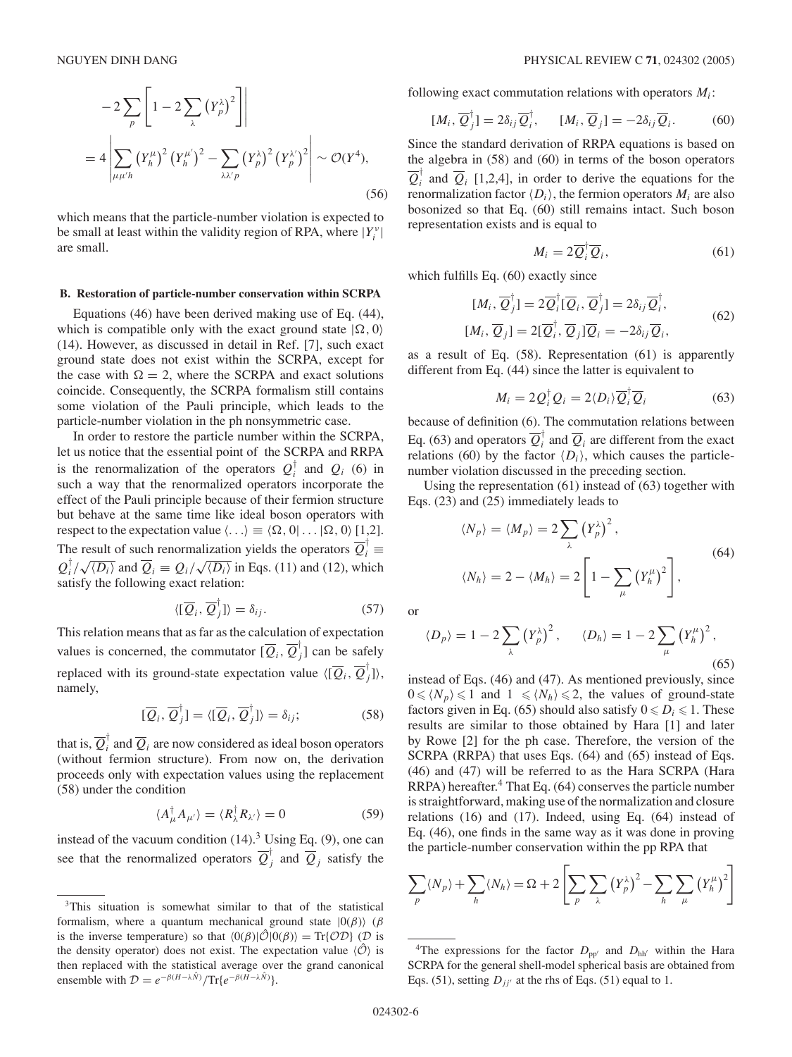$$
-2\sum_{p} \left[1 - 2\sum_{\lambda} (Y_p^{\lambda})^2 \right] \Big|
$$
  
=  $4 \left| \sum_{\mu \mu' h} (Y_h^{\mu})^2 (Y_h^{\mu'})^2 - \sum_{\lambda \lambda' p} (Y_p^{\lambda})^2 (Y_p^{\lambda'})^2 \right| \sim \mathcal{O}(Y^4),$  (56)

which means that the particle-number violation is expected to be small at least within the validity region of RPA, where  $|Y_i^{\nu}|$ are small.

#### **B. Restoration of particle-number conservation within SCRPA**

Equations (46) have been derived making use of Eq. (44), which is compatible only with the exact ground state  $|\Omega, 0\rangle$ (14). However, as discussed in detail in Ref. [7], such exact ground state does not exist within the SCRPA, except for the case with  $\Omega = 2$ , where the SCRPA and exact solutions coincide. Consequently, the SCRPA formalism still contains some violation of the Pauli principle, which leads to the particle-number violation in the ph nonsymmetric case.

In order to restore the particle number within the SCRPA, let us notice that the essential point of the SCRPA and RRPA is the renormalization of the operators  $Q_i^{\dagger}$  and  $Q_i$  (6) in such a way that the renormalized operators incorporate the effect of the Pauli principle because of their fermion structure but behave at the same time like ideal boson operators with respect to the expectation value  $\langle \ldots \rangle \equiv \langle \Omega, 0 | \ldots | \Omega, 0 \rangle$  [1,2]. The result of such renormalization yields the operators  $\overline{Q}_i^{\dagger} \equiv$  $Q_i^{\dagger}/\sqrt{\langle D_i \rangle}$  and  $\overline{Q}_i \equiv Q_i/\sqrt{\langle D_i \rangle}$  in Eqs. (11) and (12), which satisfy the following exact relation:

$$
\langle [\overline{Q}_i, \overline{Q}_j^{\dagger}] \rangle = \delta_{ij}.
$$
 (57)

This relation means that as far as the calculation of expectation values is concerned, the commutator  $[\overline{Q}_i, \overline{Q}_j^{\dagger}]$  can be safely replaced with its ground-state expectation value  $\langle [\overline{Q}_i, \overline{Q}_j^{\dagger}] \rangle$ , namely,

$$
[\overline{Q}_i, \overline{Q}_j^{\dagger}] = \langle [\overline{Q}_i, \overline{Q}_j^{\dagger}] \rangle = \delta_{ij};
$$
\n(58)

that is,  $\overline{Q}_i^{\dagger}$  and  $\overline{Q}_i$  are now considered as ideal boson operators (without fermion structure). From now on, the derivation proceeds only with expectation values using the replacement (58) under the condition

$$
\langle A_{\mu}^{\dagger} A_{\mu'} \rangle = \langle R_{\lambda}^{\dagger} R_{\lambda'} \rangle = 0 \tag{59}
$$

instead of the vacuum condition  $(14)$ .<sup>3</sup> Using Eq.  $(9)$ , one can see that the renormalized operators  $\overline{Q}_j^{\dagger}$  and  $\overline{Q}_j$  satisfy the

following exact commutation relations with operators  $M_i$ :

$$
[M_i, \overline{Q}_j^{\dagger}] = 2\delta_{ij}\overline{Q}_i^{\dagger}, \qquad [M_i, \overline{Q}_j] = -2\delta_{ij}\overline{Q}_i.
$$
 (60)

Since the standard derivation of RRPA equations is based on the algebra in (58) and (60) in terms of the boson operators  $\overline{Q}_i^{\dagger}$  and  $\overline{Q}_i$  [1,2,4], in order to derive the equations for the renormalization factor  $\langle D_i \rangle$ , the fermion operators  $M_i$  are also bosonized so that Eq. (60) still remains intact. Such boson representation exists and is equal to

$$
M_i = 2\overline{Q}_i^{\dagger}\overline{Q}_i,\tag{61}
$$

which fulfills Eq. (60) exactly since

$$
[M_i, \overline{Q}_j^{\dagger}] = 2\overline{Q}_i^{\dagger}[\overline{Q}_i, \overline{Q}_j^{\dagger}] = 2\delta_{ij}\overline{Q}_i^{\dagger},
$$
  
\n
$$
[M_i, \overline{Q}_j] = 2[\overline{Q}_i^{\dagger}, \overline{Q}_j]\overline{Q}_i = -2\delta_{ij}\overline{Q}_i,
$$
\n(62)

as a result of Eq. (58). Representation (61) is apparently different from Eq. (44) since the latter is equivalent to

$$
M_i = 2Q_i^{\dagger} Q_i = 2\langle D_i \rangle \overline{Q}_i^{\dagger} \overline{Q}_i \tag{63}
$$

because of definition (6). The commutation relations between Eq. (63) and operators  $\overline{Q}_i^{\dagger}$  and  $\overline{Q}_i$  are different from the exact relations (60) by the factor  $\langle D_i \rangle$ , which causes the particlenumber violation discussed in the preceding section.

Using the representation (61) instead of (63) together with Eqs. (23) and (25) immediately leads to

$$
\langle N_p \rangle = \langle M_p \rangle = 2 \sum_{\lambda} \left( Y_p^{\lambda} \right)^2,
$$
  

$$
\langle N_h \rangle = 2 - \langle M_h \rangle = 2 \left[ 1 - \sum_{\mu} \left( Y_h^{\mu} \right)^2 \right],
$$
 (64)

or

$$
\langle D_p \rangle = 1 - 2 \sum_{\lambda} \left( Y_p^{\lambda} \right)^2, \qquad \langle D_h \rangle = 1 - 2 \sum_{\mu} \left( Y_h^{\mu} \right)^2,
$$
\n(65)

instead of Eqs. (46) and (47). As mentioned previously, since  $0 \le \langle N_p \rangle \le 1$  and  $1 \le \langle N_h \rangle \le 2$ , the values of ground-state factors given in Eq. (65) should also satisfy  $0 \le D_i \le 1$ . These results are similar to those obtained by Hara [1] and later by Rowe [2] for the ph case. Therefore, the version of the SCRPA (RRPA) that uses Eqs. (64) and (65) instead of Eqs. (46) and (47) will be referred to as the Hara SCRPA (Hara RRPA) hereafter.<sup>4</sup> That Eq. (64) conserves the particle number is straightforward, making use of the normalization and closure relations (16) and (17). Indeed, using Eq. (64) instead of Eq. (46), one finds in the same way as it was done in proving the particle-number conservation within the pp RPA that

$$
\sum_{p} \langle N_{p} \rangle + \sum_{h} \langle N_{h} \rangle = \Omega + 2 \left[ \sum_{p} \sum_{\lambda} \left( Y_{p}^{\lambda} \right)^{2} - \sum_{h} \sum_{\mu} \left( Y_{h}^{\mu} \right)^{2} \right]
$$

<sup>&</sup>lt;sup>3</sup>This situation is somewhat similar to that of the statistical formalism, where a quantum mechanical ground state  $|0(\beta)\rangle$  ( $\beta$ is the inverse temperature) so that  $\langle 0(\beta)|\hat{O}|0(\beta)\rangle = \text{Tr}\{\hat{O}\hat{O}\}\$  (D is the density operator) does not exist. The expectation value  $\langle \hat{O} \rangle$  is then replaced with the statistical average over the grand canonical ensemble with  $\mathcal{D} = e^{-\beta(H-\lambda\hat{N})}/\text{Tr}\lbrace e^{-\beta(\vec{H}-\lambda\hat{N})}\rbrace$ .

<sup>&</sup>lt;sup>4</sup>The expressions for the factor  $D_{\text{pp'}}$  and  $D_{\text{hh'}}$  within the Hara SCRPA for the general shell-model spherical basis are obtained from Eqs. (51), setting  $D_{jj'}$  at the rhs of Eqs. (51) equal to 1.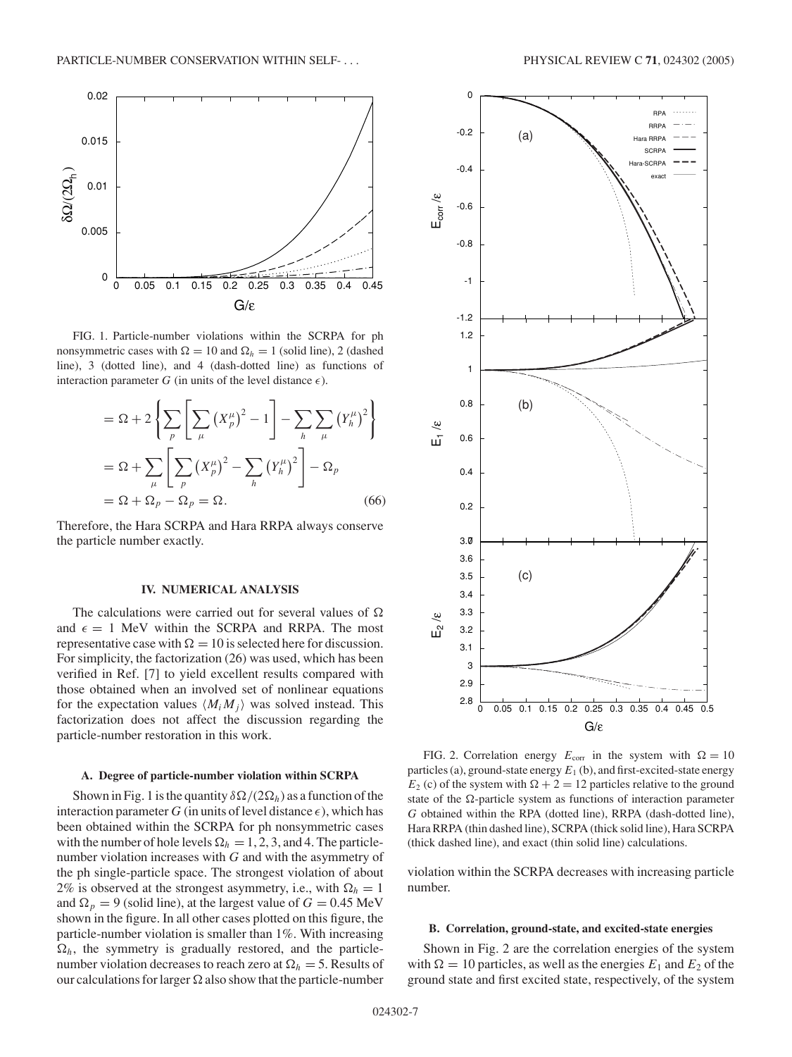

FIG. 1. Particle-number violations within the SCRPA for ph nonsymmetric cases with  $\Omega = 10$  and  $\Omega_h = 1$  (solid line), 2 (dashed line), 3 (dotted line), and 4 (dash-dotted line) as functions of interaction parameter  $G$  (in units of the level distance  $\epsilon$ ).

$$
= \Omega + 2\left\{\sum_{p} \left[\sum_{\mu} \left(X_{p}^{\mu}\right)^{2} - 1\right] - \sum_{h} \sum_{\mu} \left(Y_{h}^{\mu}\right)^{2}\right\}
$$

$$
= \Omega + \sum_{\mu} \left[\sum_{p} \left(X_{p}^{\mu}\right)^{2} - \sum_{h} \left(Y_{h}^{\mu}\right)^{2}\right] - \Omega_{p}
$$

$$
= \Omega + \Omega_{p} - \Omega_{p} = \Omega.
$$
 (66)

Therefore, the Hara SCRPA and Hara RRPA always conserve the particle number exactly.

### **IV. NUMERICAL ANALYSIS**

The calculations were carried out for several values of  $\Omega$ and  $\epsilon = 1$  MeV within the SCRPA and RRPA. The most representative case with  $\Omega = 10$  is selected here for discussion. For simplicity, the factorization (26) was used, which has been verified in Ref. [7] to yield excellent results compared with those obtained when an involved set of nonlinear equations for the expectation values  $\langle M_i, M_j \rangle$  was solved instead. This factorization does not affect the discussion regarding the particle-number restoration in this work.

#### **A. Degree of particle-number violation within SCRPA**

Shown in Fig. 1 is the quantity  $\delta\Omega/(2\Omega_h)$  as a function of the interaction parameter  $G$  (in units of level distance  $\epsilon$ ), which has been obtained within the SCRPA for ph nonsymmetric cases with the number of hole levels  $\Omega_h = 1, 2, 3$ , and 4. The particlenumber violation increases with *G* and with the asymmetry of the ph single-particle space. The strongest violation of about 2% is observed at the strongest asymmetry, i.e., with  $\Omega_h = 1$ and  $\Omega_p = 9$  (solid line), at the largest value of  $G = 0.45$  MeV shown in the figure. In all other cases plotted on this figure, the particle-number violation is smaller than 1%. With increasing  $\Omega_h$ , the symmetry is gradually restored, and the particlenumber violation decreases to reach zero at  $\Omega_h = 5$ . Results of our calculations for larger  $\Omega$  also show that the particle-number



FIG. 2. Correlation energy  $E_{\text{corr}}$  in the system with  $\Omega = 10$ particles (a), ground-state energy  $E_1$  (b), and first-excited-state energy  $E_2$  (c) of the system with  $\Omega + 2 = 12$  particles relative to the ground state of the  $\Omega$ -particle system as functions of interaction parameter *G* obtained within the RPA (dotted line), RRPA (dash-dotted line), Hara RRPA (thin dashed line), SCRPA (thick solid line), Hara SCRPA (thick dashed line), and exact (thin solid line) calculations.

violation within the SCRPA decreases with increasing particle number.

#### **B. Correlation, ground-state, and excited-state energies**

Shown in Fig. 2 are the correlation energies of the system with  $\Omega = 10$  particles, as well as the energies  $E_1$  and  $E_2$  of the ground state and first excited state, respectively, of the system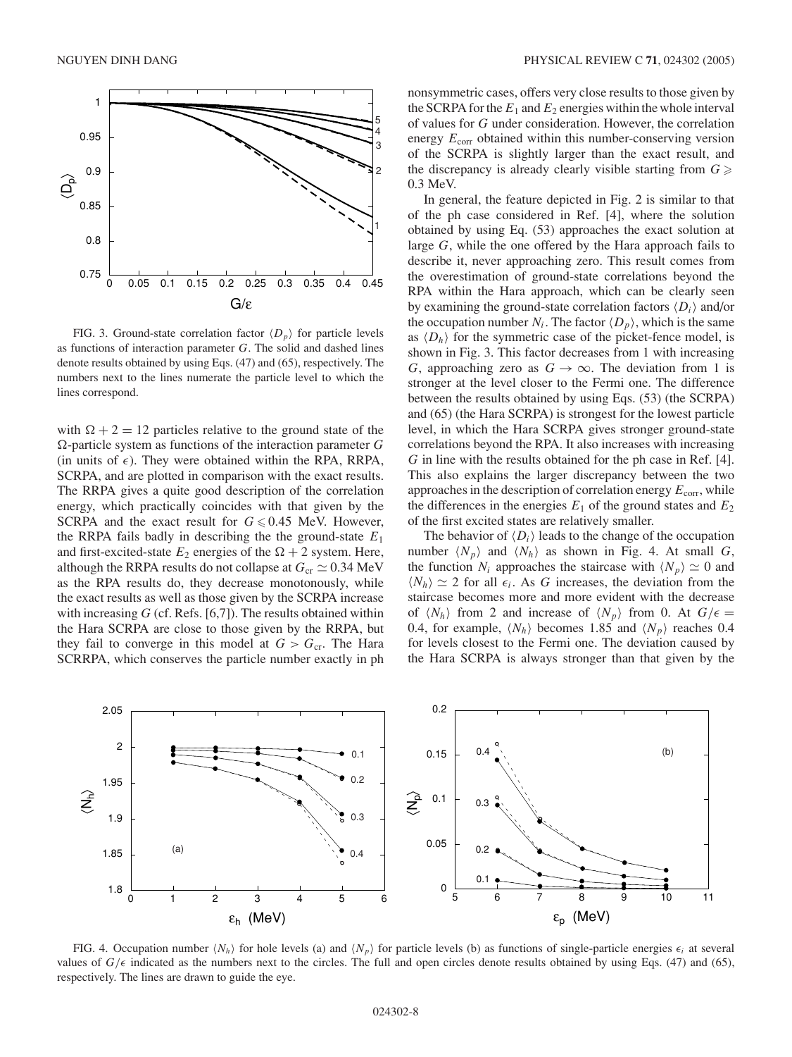

FIG. 3. Ground-state correlation factor  $\langle D_p \rangle$  for particle levels as functions of interaction parameter *G*. The solid and dashed lines denote results obtained by using Eqs. (47) and (65), respectively. The numbers next to the lines numerate the particle level to which the lines correspond.

with  $\Omega + 2 = 12$  particles relative to the ground state of the -particle system as functions of the interaction parameter *G* (in units of  $\epsilon$ ). They were obtained within the RPA, RRPA, SCRPA, and are plotted in comparison with the exact results. The RRPA gives a quite good description of the correlation energy, which practically coincides with that given by the SCRPA and the exact result for  $G \le 0.45$  MeV. However, the RRPA fails badly in describing the the ground-state  $E_1$ and first-excited-state  $E_2$  energies of the  $\Omega + 2$  system. Here, although the RRPA results do not collapse at  $G_{cr} \simeq 0.34 \text{ MeV}$ as the RPA results do, they decrease monotonously, while the exact results as well as those given by the SCRPA increase with increasing *G* (cf. Refs. [6,7]). The results obtained within the Hara SCRPA are close to those given by the RRPA, but they fail to converge in this model at  $G > G<sub>cr</sub>$ . The Hara SCRRPA, which conserves the particle number exactly in ph nonsymmetric cases, offers very close results to those given by the SCRPA for the  $E_1$  and  $E_2$  energies within the whole interval of values for *G* under consideration. However, the correlation energy  $E_{\text{corr}}$  obtained within this number-conserving version of the SCRPA is slightly larger than the exact result, and the discrepancy is already clearly visible starting from  $G \geq$ 0.3 MeV.

In general, the feature depicted in Fig. 2 is similar to that of the ph case considered in Ref. [4], where the solution obtained by using Eq. (53) approaches the exact solution at large *G*, while the one offered by the Hara approach fails to describe it, never approaching zero. This result comes from the overestimation of ground-state correlations beyond the RPA within the Hara approach, which can be clearly seen by examining the ground-state correlation factors  $\langle D_i \rangle$  and/or the occupation number  $N_i$ . The factor  $\langle D_p \rangle$ , which is the same as  $\langle D_h \rangle$  for the symmetric case of the picket-fence model, is shown in Fig. 3. This factor decreases from 1 with increasing *G*, approaching zero as  $G \rightarrow \infty$ . The deviation from 1 is stronger at the level closer to the Fermi one. The difference between the results obtained by using Eqs. (53) (the SCRPA) and (65) (the Hara SCRPA) is strongest for the lowest particle level, in which the Hara SCRPA gives stronger ground-state correlations beyond the RPA. It also increases with increasing *G* in line with the results obtained for the ph case in Ref. [4]. This also explains the larger discrepancy between the two approaches in the description of correlation energy  $E_{\text{corr}}$ , while the differences in the energies  $E_1$  of the ground states and  $E_2$ of the first excited states are relatively smaller.

The behavior of  $\langle D_i \rangle$  leads to the change of the occupation number  $\langle N_p \rangle$  and  $\langle N_h \rangle$  as shown in Fig. 4. At small *G*, the function  $N_i$  approaches the staircase with  $\langle N_p \rangle \simeq 0$  and  $\langle N_h \rangle \simeq 2$  for all  $\epsilon_i$ . As *G* increases, the deviation from the staircase becomes more and more evident with the decrease of  $\langle N_h \rangle$  from 2 and increase of  $\langle N_p \rangle$  from 0. At  $G/\epsilon =$ 0.4, for example,  $\langle N_h \rangle$  becomes 1.85 and  $\langle N_p \rangle$  reaches 0.4 for levels closest to the Fermi one. The deviation caused by the Hara SCRPA is always stronger than that given by the



FIG. 4. Occupation number  $\langle N_h \rangle$  for hole levels (a) and  $\langle N_p \rangle$  for particle levels (b) as functions of single-particle energies  $\epsilon_i$  at several values of  $G/\epsilon$  indicated as the numbers next to the circles. The full and open circles denote results obtained by using Eqs. (47) and (65), respectively. The lines are drawn to guide the eye.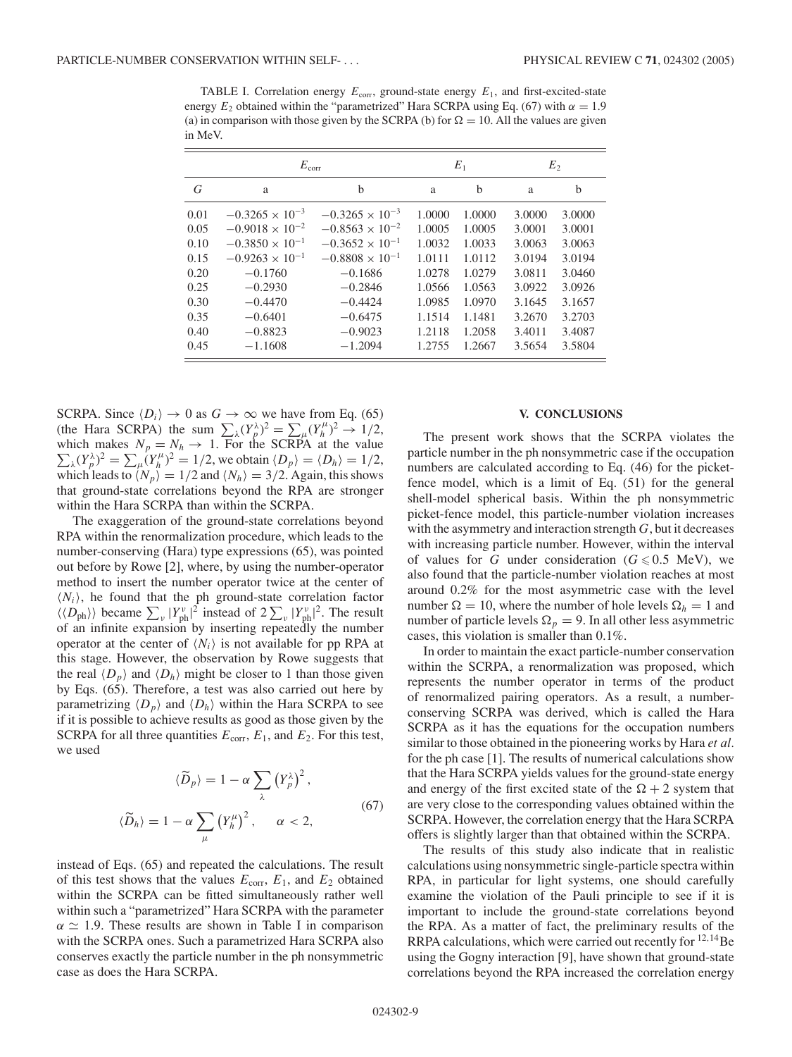TABLE I. Correlation energy  $E_{\text{corr}}$ , ground-state energy  $E_1$ , and first-excited-state energy  $E_2$  obtained within the "parametrized" Hara SCRPA using Eq. (67) with  $\alpha = 1.9$ (a) in comparison with those given by the SCRPA (b) for  $\Omega = 10$ . All the values are given in MeV.

|      | $E_{\rm corr}$           |                          | $E_1$  |        | E <sub>2</sub> |        |
|------|--------------------------|--------------------------|--------|--------|----------------|--------|
| G    | a                        | b                        | a      | b      | a              | b      |
| 0.01 | $-0.3265 \times 10^{-3}$ | $-0.3265 \times 10^{-3}$ | 1.0000 | 1.0000 | 3.0000         | 3.0000 |
| 0.05 | $-0.9018 \times 10^{-2}$ | $-0.8563 \times 10^{-2}$ | 1.0005 | 1.0005 | 3.0001         | 3.0001 |
| 0.10 | $-0.3850 \times 10^{-1}$ | $-0.3652 \times 10^{-1}$ | 1.0032 | 1.0033 | 3.0063         | 3.0063 |
| 0.15 | $-0.9263 \times 10^{-1}$ | $-0.8808 \times 10^{-1}$ | 1.0111 | 1.0112 | 3.0194         | 3.0194 |
| 0.20 | $-0.1760$                | $-0.1686$                | 1.0278 | 1.0279 | 3.0811         | 3.0460 |
| 0.25 | $-0.2930$                | $-0.2846$                | 1.0566 | 1.0563 | 3.0922         | 3.0926 |
| 0.30 | $-0.4470$                | $-0.4424$                | 1.0985 | 1.0970 | 3.1645         | 3.1657 |
| 0.35 | $-0.6401$                | $-0.6475$                | 1.1514 | 1.1481 | 3.2670         | 3.2703 |
| 0.40 | $-0.8823$                | $-0.9023$                | 1.2118 | 1.2058 | 3.4011         | 3.4087 |
| 0.45 | $-1.1608$                | $-1.2094$                | 1.2755 | 1.2667 | 3.5654         | 3.5804 |

SCRPA. Since  $\langle D_i \rangle \to 0$  as  $G \to \infty$  we have from Eq. (65) (the Hara SCRPA) the sum  $\sum_{\lambda} (Y_p^{\lambda})^2 = \sum_{\mu} (Y_h^{\mu})^2 \rightarrow 1/2$ ,  $\sum_{\lambda} (Y_p^{\lambda})^2 = \sum_{\mu} (Y_h^{\mu})^2 = 1/2$ , we obtain  $\langle D_p \rangle = \langle D_h \rangle = 1/2$ , which makes  $N_p = N_h \rightarrow 1$ . For the SCRPA at the value which leads to  $\langle N_p \rangle = 1/2$  and  $\langle N_h \rangle = 3/2$ . Again, this shows that ground-state correlations beyond the RPA are stronger within the Hara SCRPA than within the SCRPA.

The exaggeration of the ground-state correlations beyond RPA within the renormalization procedure, which leads to the number-conserving (Hara) type expressions (65), was pointed out before by Rowe [2], where, by using the number-operator method to insert the number operator twice at the center of  $\langle N_i \rangle$ , he found that the ph ground-state correlation factor  $\langle \langle D_{\rm ph} \rangle \rangle$  became  $\sum_{\nu} |Y_{\rm ph}^{\nu}|^2$  instead of  $2 \sum_{\nu} |Y_{\rm ph}^{\nu}|^2$ . The result of an infinite expansion by inserting repeatedly the number operator at the center of  $\langle N_i \rangle$  is not available for pp RPA at this stage. However, the observation by Rowe suggests that the real  $\langle D_p \rangle$  and  $\langle D_h \rangle$  might be closer to 1 than those given by Eqs. (65). Therefore, a test was also carried out here by parametrizing  $\langle D_p \rangle$  and  $\langle D_h \rangle$  within the Hara SCRPA to see if it is possible to achieve results as good as those given by the SCRPA for all three quantities  $E_{\text{corr}}$ ,  $E_1$ , and  $E_2$ . For this test, we used

$$
\langle \widetilde{D}_p \rangle = 1 - \alpha \sum_{\lambda} \left( Y_p^{\lambda} \right)^2,
$$
  

$$
\langle \widetilde{D}_h \rangle = 1 - \alpha \sum_{\mu} \left( Y_h^{\mu} \right)^2, \qquad \alpha < 2,
$$
 (67)

instead of Eqs. (65) and repeated the calculations. The result of this test shows that the values  $E_{\text{corr}}$ ,  $E_1$ , and  $E_2$  obtained within the SCRPA can be fitted simultaneously rather well within such a "parametrized" Hara SCRPA with the parameter  $\alpha \simeq 1.9$ . These results are shown in Table I in comparison with the SCRPA ones. Such a parametrized Hara SCRPA also conserves exactly the particle number in the ph nonsymmetric case as does the Hara SCRPA.

#### **V. CONCLUSIONS**

The present work shows that the SCRPA violates the particle number in the ph nonsymmetric case if the occupation numbers are calculated according to Eq. (46) for the picketfence model, which is a limit of Eq. (51) for the general shell-model spherical basis. Within the ph nonsymmetric picket-fence model, this particle-number violation increases with the asymmetry and interaction strength *G*, but it decreases with increasing particle number. However, within the interval of values for *G* under consideration ( $G \le 0.5$  MeV), we also found that the particle-number violation reaches at most around 0.2% for the most asymmetric case with the level number  $\Omega = 10$ , where the number of hole levels  $\Omega_h = 1$  and number of particle levels  $\Omega_p = 9$ . In all other less asymmetric cases, this violation is smaller than 0.1%.

In order to maintain the exact particle-number conservation within the SCRPA, a renormalization was proposed, which represents the number operator in terms of the product of renormalized pairing operators. As a result, a numberconserving SCRPA was derived, which is called the Hara SCRPA as it has the equations for the occupation numbers similar to those obtained in the pioneering works by Hara *et al.* for the ph case [1]. The results of numerical calculations show that the Hara SCRPA yields values for the ground-state energy and energy of the first excited state of the  $\Omega + 2$  system that are very close to the corresponding values obtained within the SCRPA. However, the correlation energy that the Hara SCRPA offers is slightly larger than that obtained within the SCRPA.

The results of this study also indicate that in realistic calculations using nonsymmetric single-particle spectra within RPA, in particular for light systems, one should carefully examine the violation of the Pauli principle to see if it is important to include the ground-state correlations beyond the RPA. As a matter of fact, the preliminary results of the RRPA calculations, which were carried out recently for <sup>12</sup>*,*14Be using the Gogny interaction [9], have shown that ground-state correlations beyond the RPA increased the correlation energy